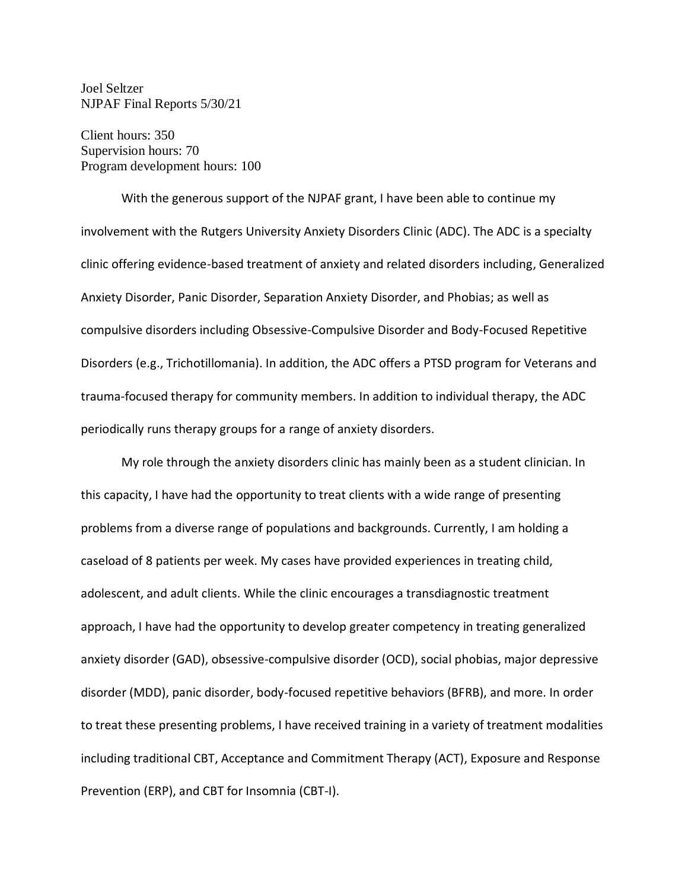Joel Seltzer NJPAF Final Reports 5/30/21

Client hours: 350 Supervision hours: 70 Program development hours: 100

With the generous support of the NJPAF grant, I have been able to continue my involvement with the Rutgers University Anxiety Disorders Clinic (ADC). The ADC is a specialty clinic offering evidence-based treatment of anxiety and related disorders including, Generalized Anxiety Disorder, Panic Disorder, Separation Anxiety Disorder, and Phobias; as well as compulsive disorders including Obsessive-Compulsive Disorder and Body-Focused Repetitive Disorders (e.g., Trichotillomania). In addition, the ADC offers a PTSD program for Veterans and trauma-focused therapy for community members. In addition to individual therapy, the ADC periodically runs therapy groups for a range of anxiety disorders.

My role through the anxiety disorders clinic has mainly been as a student clinician. In this capacity, I have had the opportunity to treat clients with a wide range of presenting problems from a diverse range of populations and backgrounds. Currently, I am holding a caseload of 8 patients per week. My cases have provided experiences in treating child, adolescent, and adult clients. While the clinic encourages a transdiagnostic treatment approach, I have had the opportunity to develop greater competency in treating generalized anxiety disorder (GAD), obsessive-compulsive disorder (OCD), social phobias, major depressive disorder (MDD), panic disorder, body-focused repetitive behaviors (BFRB), and more. In order to treat these presenting problems, I have received training in a variety of treatment modalities including traditional CBT, Acceptance and Commitment Therapy (ACT), Exposure and Response Prevention (ERP), and CBT for Insomnia (CBT-I).